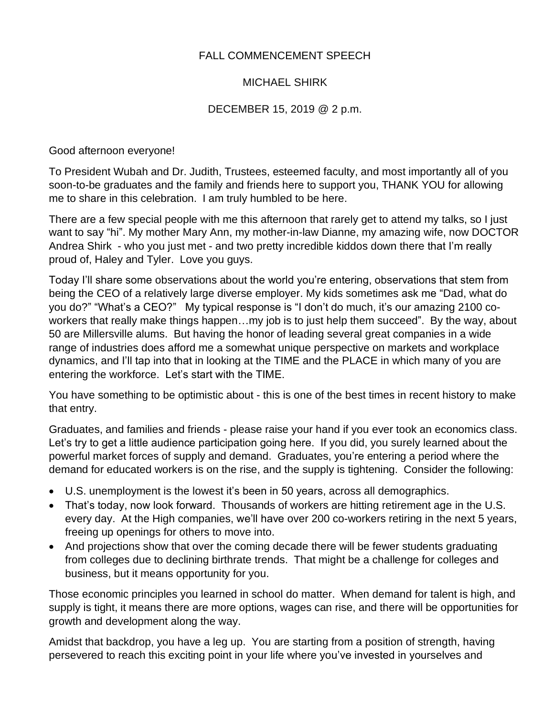## FALL COMMENCEMENT SPEECH

## MICHAEL SHIRK

## DECEMBER 15, 2019 @ 2 p.m.

Good afternoon everyone!

To President Wubah and Dr. Judith, Trustees, esteemed faculty, and most importantly all of you soon-to-be graduates and the family and friends here to support you, THANK YOU for allowing me to share in this celebration. I am truly humbled to be here.

There are a few special people with me this afternoon that rarely get to attend my talks, so I just want to say "hi". My mother Mary Ann, my mother-in-law Dianne, my amazing wife, now DOCTOR Andrea Shirk - who you just met - and two pretty incredible kiddos down there that I'm really proud of, Haley and Tyler. Love you guys.

Today I'll share some observations about the world you're entering, observations that stem from being the CEO of a relatively large diverse employer. My kids sometimes ask me "Dad, what do you do?" "What's a CEO?" My typical response is "I don't do much, it's our amazing 2100 coworkers that really make things happen…my job is to just help them succeed". By the way, about 50 are Millersville alums. But having the honor of leading several great companies in a wide range of industries does afford me a somewhat unique perspective on markets and workplace dynamics, and I'll tap into that in looking at the TIME and the PLACE in which many of you are entering the workforce. Let's start with the TIME.

You have something to be optimistic about - this is one of the best times in recent history to make that entry.

Graduates, and families and friends - please raise your hand if you ever took an economics class. Let's try to get a little audience participation going here. If you did, you surely learned about the powerful market forces of supply and demand. Graduates, you're entering a period where the demand for educated workers is on the rise, and the supply is tightening. Consider the following:

- U.S. unemployment is the lowest it's been in 50 years, across all demographics.
- That's today, now look forward. Thousands of workers are hitting retirement age in the U.S. every day. At the High companies, we'll have over 200 co-workers retiring in the next 5 years, freeing up openings for others to move into.
- And projections show that over the coming decade there will be fewer students graduating from colleges due to declining birthrate trends. That might be a challenge for colleges and business, but it means opportunity for you.

Those economic principles you learned in school do matter. When demand for talent is high, and supply is tight, it means there are more options, wages can rise, and there will be opportunities for growth and development along the way.

Amidst that backdrop, you have a leg up. You are starting from a position of strength, having persevered to reach this exciting point in your life where you've invested in yourselves and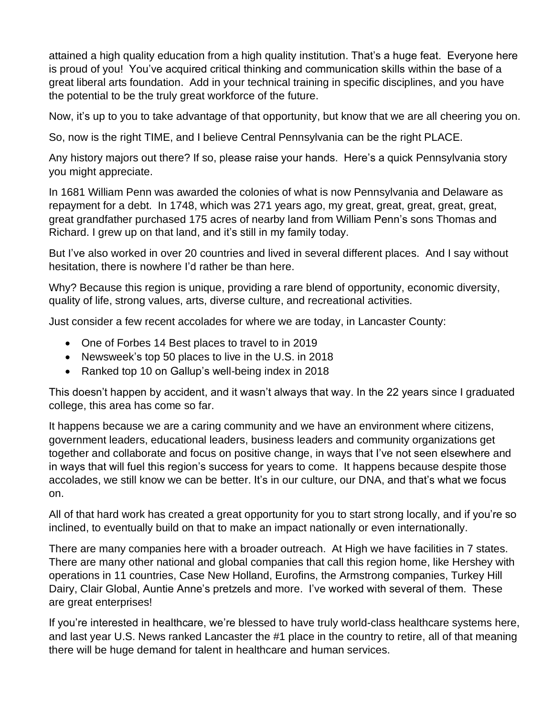attained a high quality education from a high quality institution. That's a huge feat. Everyone here is proud of you! You've acquired critical thinking and communication skills within the base of a great liberal arts foundation. Add in your technical training in specific disciplines, and you have the potential to be the truly great workforce of the future.

Now, it's up to you to take advantage of that opportunity, but know that we are all cheering you on.

So, now is the right TIME, and I believe Central Pennsylvania can be the right PLACE.

Any history majors out there? If so, please raise your hands. Here's a quick Pennsylvania story you might appreciate.

In 1681 William Penn was awarded the colonies of what is now Pennsylvania and Delaware as repayment for a debt. In 1748, which was 271 years ago, my great, great, great, great, great, great grandfather purchased 175 acres of nearby land from William Penn's sons Thomas and Richard. I grew up on that land, and it's still in my family today.

But I've also worked in over 20 countries and lived in several different places. And I say without hesitation, there is nowhere I'd rather be than here.

Why? Because this region is unique, providing a rare blend of opportunity, economic diversity, quality of life, strong values, arts, diverse culture, and recreational activities.

Just consider a few recent accolades for where we are today, in Lancaster County:

- One of Forbes 14 Best places to travel to in 2019
- Newsweek's top 50 places to live in the U.S. in 2018
- Ranked top 10 on Gallup's well-being index in 2018

This doesn't happen by accident, and it wasn't always that way. In the 22 years since I graduated college, this area has come so far.

It happens because we are a caring community and we have an environment where citizens, government leaders, educational leaders, business leaders and community organizations get together and collaborate and focus on positive change, in ways that I've not seen elsewhere and in ways that will fuel this region's success for years to come. It happens because despite those accolades, we still know we can be better. It's in our culture, our DNA, and that's what we focus on.

All of that hard work has created a great opportunity for you to start strong locally, and if you're so inclined, to eventually build on that to make an impact nationally or even internationally.

There are many companies here with a broader outreach. At High we have facilities in 7 states. There are many other national and global companies that call this region home, like Hershey with operations in 11 countries, Case New Holland, Eurofins, the Armstrong companies, Turkey Hill Dairy, Clair Global, Auntie Anne's pretzels and more. I've worked with several of them. These are great enterprises!

If you're interested in healthcare, we're blessed to have truly world-class healthcare systems here, and last year U.S. News ranked Lancaster the #1 place in the country to retire, all of that meaning there will be huge demand for talent in healthcare and human services.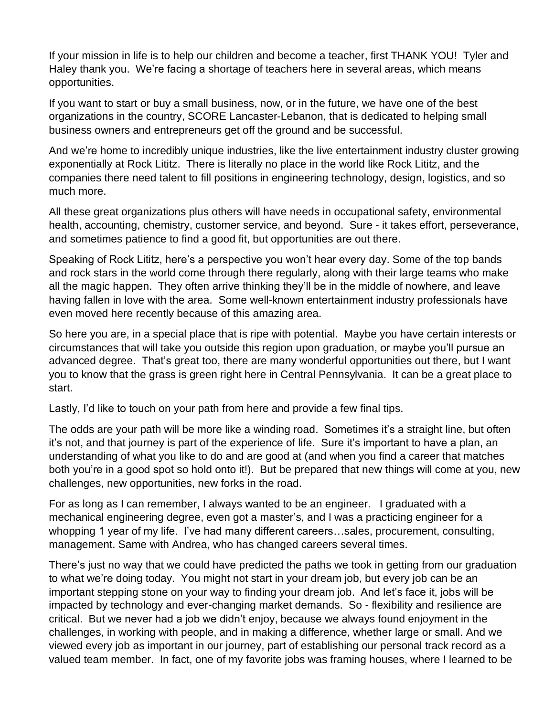If your mission in life is to help our children and become a teacher, first THANK YOU! Tyler and Haley thank you. We're facing a shortage of teachers here in several areas, which means opportunities.

If you want to start or buy a small business, now, or in the future, we have one of the best organizations in the country, SCORE Lancaster-Lebanon, that is dedicated to helping small business owners and entrepreneurs get off the ground and be successful.

And we're home to incredibly unique industries, like the live entertainment industry cluster growing exponentially at Rock Lititz. There is literally no place in the world like Rock Lititz, and the companies there need talent to fill positions in engineering technology, design, logistics, and so much more.

All these great organizations plus others will have needs in occupational safety, environmental health, accounting, chemistry, customer service, and beyond. Sure - it takes effort, perseverance, and sometimes patience to find a good fit, but opportunities are out there.

Speaking of Rock Lititz, here's a perspective you won't hear every day. Some of the top bands and rock stars in the world come through there regularly, along with their large teams who make all the magic happen. They often arrive thinking they'll be in the middle of nowhere, and leave having fallen in love with the area. Some well-known entertainment industry professionals have even moved here recently because of this amazing area.

So here you are, in a special place that is ripe with potential. Maybe you have certain interests or circumstances that will take you outside this region upon graduation, or maybe you'll pursue an advanced degree. That's great too, there are many wonderful opportunities out there, but I want you to know that the grass is green right here in Central Pennsylvania. It can be a great place to start.

Lastly, I'd like to touch on your path from here and provide a few final tips.

The odds are your path will be more like a winding road. Sometimes it's a straight line, but often it's not, and that journey is part of the experience of life. Sure it's important to have a plan, an understanding of what you like to do and are good at (and when you find a career that matches both you're in a good spot so hold onto it!). But be prepared that new things will come at you, new challenges, new opportunities, new forks in the road.

For as long as I can remember, I always wanted to be an engineer. I graduated with a mechanical engineering degree, even got a master's, and I was a practicing engineer for a whopping 1 year of my life. I've had many different careers…sales, procurement, consulting, management. Same with Andrea, who has changed careers several times.

There's just no way that we could have predicted the paths we took in getting from our graduation to what we're doing today. You might not start in your dream job, but every job can be an important stepping stone on your way to finding your dream job. And let's face it, jobs will be impacted by technology and ever-changing market demands. So - flexibility and resilience are critical. But we never had a job we didn't enjoy, because we always found enjoyment in the challenges, in working with people, and in making a difference, whether large or small. And we viewed every job as important in our journey, part of establishing our personal track record as a valued team member. In fact, one of my favorite jobs was framing houses, where I learned to be